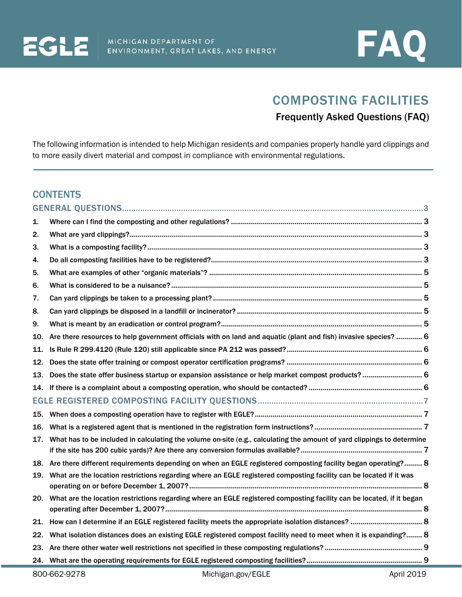



# COMPOSTING FACILITIES

## Frequently Asked Questions (FAQ)

The following information is intended to help Michigan residents and companies properly handle yard clippings and to more easily divert material and compost in compliance with environmental regulations.

## **CONTENTS**

| 1.  |                                                                                                                        |  |  |  |
|-----|------------------------------------------------------------------------------------------------------------------------|--|--|--|
| 2.  |                                                                                                                        |  |  |  |
| 3.  |                                                                                                                        |  |  |  |
| 4.  |                                                                                                                        |  |  |  |
| 5.  |                                                                                                                        |  |  |  |
| 6.  |                                                                                                                        |  |  |  |
| 7.  |                                                                                                                        |  |  |  |
| 8.  |                                                                                                                        |  |  |  |
| 9.  |                                                                                                                        |  |  |  |
| 10. | Are there resources to help government officials with on land and aquatic (plant and fish) invasive species?  6        |  |  |  |
| 11. |                                                                                                                        |  |  |  |
| 12. |                                                                                                                        |  |  |  |
| 13. | Does the state offer business startup or expansion assistance or help market compost products? 6                       |  |  |  |
| 14. |                                                                                                                        |  |  |  |
|     |                                                                                                                        |  |  |  |
| 15. |                                                                                                                        |  |  |  |
| 16. |                                                                                                                        |  |  |  |
| 17. | What has to be included in calculating the volume on-site (e.g., calculating the amount of yard clippings to determine |  |  |  |
|     | 18. Are there different requirements depending on when an EGLE registered composting facility began operating? 8       |  |  |  |
|     | 19. What are the location restrictions regarding where an EGLE registered composting facility can be located if it was |  |  |  |
| 20. | What are the location restrictions regarding where an EGLE registered composting facility can be located, if it began  |  |  |  |
| 21. |                                                                                                                        |  |  |  |
| 22. | What isolation distances does an existing EGLE registered compost facility need to meet when it is expanding? 8        |  |  |  |
|     |                                                                                                                        |  |  |  |
|     |                                                                                                                        |  |  |  |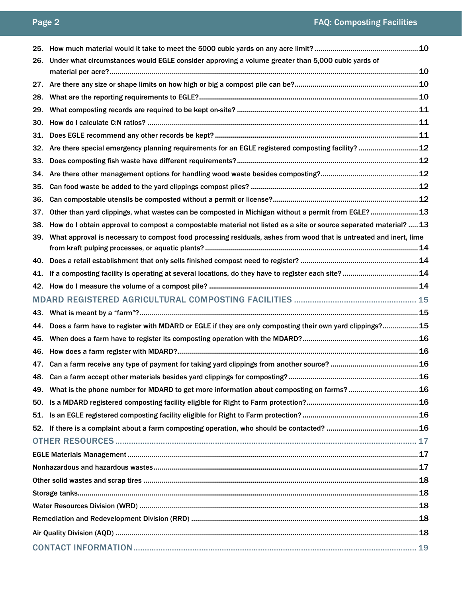| 25. |                                                                                                                    |  |  |  |  |
|-----|--------------------------------------------------------------------------------------------------------------------|--|--|--|--|
| 26. | Under what circumstances would EGLE consider approving a volume greater than 5,000 cubic yards of                  |  |  |  |  |
|     |                                                                                                                    |  |  |  |  |
| 27. |                                                                                                                    |  |  |  |  |
| 28. |                                                                                                                    |  |  |  |  |
| 29. |                                                                                                                    |  |  |  |  |
| 30. |                                                                                                                    |  |  |  |  |
| 31. |                                                                                                                    |  |  |  |  |
| 32. | Are there special emergency planning requirements for an EGLE registered composting facility?  12                  |  |  |  |  |
| 33. |                                                                                                                    |  |  |  |  |
| 34. |                                                                                                                    |  |  |  |  |
| 35. |                                                                                                                    |  |  |  |  |
| 36. |                                                                                                                    |  |  |  |  |
| 37. | Other than yard clippings, what wastes can be composted in Michigan without a permit from EGLE?  13                |  |  |  |  |
| 38. | How do I obtain approval to compost a compostable material not listed as a site or source separated material? 13   |  |  |  |  |
| 39. | What approval is necessary to compost food processing residuals, ashes from wood that is untreated and inert, lime |  |  |  |  |
|     |                                                                                                                    |  |  |  |  |
| 40. |                                                                                                                    |  |  |  |  |
| 41. |                                                                                                                    |  |  |  |  |
| 42. |                                                                                                                    |  |  |  |  |
|     |                                                                                                                    |  |  |  |  |
| 43. |                                                                                                                    |  |  |  |  |
| 44. | Does a farm have to register with MDARD or EGLE if they are only composting their own yard clippings?15            |  |  |  |  |
| 45. |                                                                                                                    |  |  |  |  |
| 46. |                                                                                                                    |  |  |  |  |
| 47. |                                                                                                                    |  |  |  |  |
|     |                                                                                                                    |  |  |  |  |
|     | 49. What is the phone number for MDARD to get more information about composting on farms?16                        |  |  |  |  |
| 50. |                                                                                                                    |  |  |  |  |
| 51. |                                                                                                                    |  |  |  |  |
|     |                                                                                                                    |  |  |  |  |
|     |                                                                                                                    |  |  |  |  |
|     |                                                                                                                    |  |  |  |  |
|     |                                                                                                                    |  |  |  |  |
|     |                                                                                                                    |  |  |  |  |
|     |                                                                                                                    |  |  |  |  |
|     |                                                                                                                    |  |  |  |  |
|     |                                                                                                                    |  |  |  |  |
|     |                                                                                                                    |  |  |  |  |
|     |                                                                                                                    |  |  |  |  |
|     |                                                                                                                    |  |  |  |  |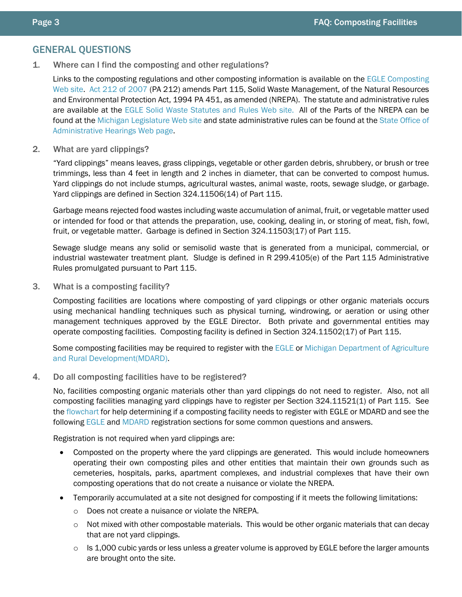## <span id="page-2-0"></span>GENERAL QUESTIONS

<span id="page-2-1"></span>1. Where can I find the composting and other regulations?

Links to the composting regulations and other composting information is available on the EGLE [Composting](https://www.michigan.gov/deq/0,4561,7-135-3312_4123-185537--,00.html)  [Web site.](https://www.michigan.gov/deq/0,4561,7-135-3312_4123-185537--,00.html) Act [212 of 2007](http://www.legislature.mi.gov/documents/2007-2008/publicact/pdf/2007-PA-0212.pdf) (PA 212) amends Part 115, Solid Waste Management, of the Natural Resources and Environmental Protection Act, 1994 PA 451, as amended (NREPA). The statute and administrative rules are available at the EGLE [Solid Waste Statutes and Rules Web site. A](https://www.michigan.gov/deq/0,4561,7-135-3312_4123---,00.html)ll of the Parts of the NREPA can be found at the [Michigan Legislature Web site](http://www.michiganlegislature.org/) and state administrative rules can be found at the [State Office of](http://www.michigan.gov/lara/0,4601,7-154-10576---,00.html)  [Administrative Hearings Web page.](http://www.michigan.gov/lara/0,4601,7-154-10576---,00.html)

<span id="page-2-2"></span>2. What are yard clippings?

"Yard clippings" means leaves, grass clippings, vegetable or other garden debris, shrubbery, or brush or tree trimmings, less than 4 feet in length and 2 inches in diameter, that can be converted to compost humus. Yard clippings do not include stumps, agricultural wastes, animal waste, roots, sewage sludge, or garbage. Yard clippings are defined in Section 324.11506(14) of Part 115.

Garbage means rejected food wastes including waste accumulation of animal, fruit, or vegetable matter used or intended for food or that attends the preparation, use, cooking, dealing in, or storing of meat, fish, fowl, fruit, or vegetable matter. Garbage is defined in Section 324.11503(17) of Part 115.

Sewage sludge means any solid or semisolid waste that is generated from a municipal, commercial, or industrial wastewater treatment plant. Sludge is defined in R 299.4105(e) of the Part 115 Administrative Rules promulgated pursuant to Part 115.

<span id="page-2-3"></span>3. What is a composting facility?

Composting facilities are locations where composting of yard clippings or other organic materials occurs using mechanical handling techniques such as physical turning, windrowing, or aeration or using other management techniques approved by the EGLE Director. Both private and governmental entities may operate composting facilities. Composting facility is defined in Section 324.11502(17) of Part 115.

Some composting facilities may be required to register with the [EGLE](#page-6-0) or Michigan Department of Agriculture [and Rural Development\(MDARD\).](#page-14-0)

<span id="page-2-4"></span>4. Do all composting facilities have to be registered?

No, facilities composting organic materials other than yard clippings do not need to register. Also, not all composting facilities managing yard clippings have to register per Section 324.11521(1) of Part 115. See the [flowchart](http://www.michigan.gov/documents/deq/Visio-Compost_flowchart_web_version_226545_7.pdf) for help determining if a composting facility needs to register with EGLE or MDARD and see the following [EGLE](#page-6-0) and [MDARD](#page-14-0) registration sections for some common questions and answers.

Registration is not required when yard clippings are:

- Composted on the property where the yard clippings are generated. This would include homeowners operating their own composting piles and other entities that maintain their own grounds such as cemeteries, hospitals, parks, apartment complexes, and industrial complexes that have their own composting operations that do not create a nuisance or violate the NREPA.
- Temporarily accumulated at a site not designed for composting if it meets the following limitations:
	- o Does not create a nuisance or violate the NREPA.
	- $\circ$  Not mixed with other compostable materials. This would be other organic materials that can decay that are not yard clippings.
	- $\circ$  Is 1,000 cubic yards or less unless a greater volume is approved by EGLE before the larger amounts are brought onto the site.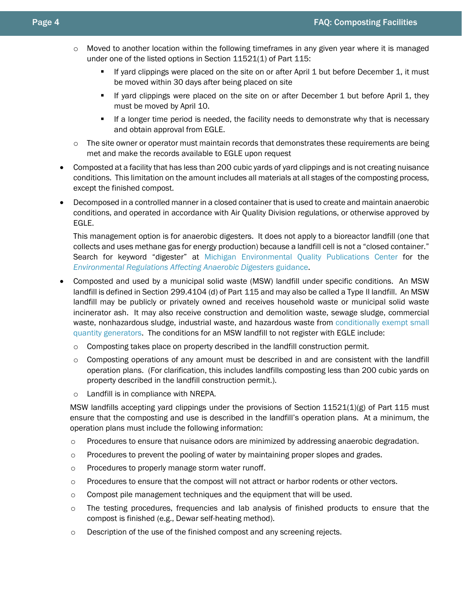- o Moved to another location within the following timeframes in any given year where it is managed under one of the listed options in Section 11521(1) of Part 115:
	- If yard clippings were placed on the site on or after April 1 but before December 1, it must be moved within 30 days after being placed on site
	- If yard clippings were placed on the site on or after December 1 but before April 1, they must be moved by April 10.
	- If a longer time period is needed, the facility needs to demonstrate why that is necessary and obtain approval from EGLE.
- $\circ$  The site owner or operator must maintain records that demonstrates these requirements are being met and make the records available to EGLE upon request
- Composted at a facility that has less than 200 cubic yards of yard clippings and is not creating nuisance conditions. This limitation on the amount includes all materials at all stages of the composting process, except the finished compost.
- Decomposed in a controlled manner in a closed container that is used to create and maintain anaerobic conditions, and operated in accordance with Air Quality Division regulations, or otherwise approved by EGLE.

This management option is for anaerobic digesters. It does not apply to a bioreactor landfill (one that collects and uses methane gas for energy production) because a landfill cell is not a "closed container." Search for keyword "digester" at [Michigan Environmental Quality Publications Center](http://www.deq.state.mi.us/pubcenter) for the *[Environmental Regulations Affecting Anaerobic Digesters](http://www.michigan.gov/documents/deq/deq-ess-caap-factsheet-anaerobicdigesters_189095_7.pdf)* guidance.

- Composted and used by a municipal solid waste (MSW) landfill under specific conditions. An MSW landfill is defined in Section 299.4104 (d) of Part 115 and may also be called a Type II landfill. An MSW landfill may be publicly or privately owned and receives household waste or municipal solid waste incinerator ash. It may also receive construction and demolition waste, sewage sludge, commercial waste, nonhazardous sludge, industrial waste, and hazardous waste from [conditionally exempt small](http://www.michigan.gov/deq/0,4561,7-135-3312_4118_4240-8984--,00.html)  [quantity generators.](http://www.michigan.gov/deq/0,4561,7-135-3312_4118_4240-8984--,00.html) The conditions for an MSW landfill to not register with EGLE include:
	- o Composting takes place on property described in the landfill construction permit.
	- $\circ$  Composting operations of any amount must be described in and are consistent with the landfill operation plans. (For clarification, this includes landfills composting less than 200 cubic yards on property described in the landfill construction permit.).
	- o Landfill is in compliance with NREPA.

MSW landfills accepting yard clippings under the provisions of Section 11521(1)(g) of Part 115 must ensure that the composting and use is described in the landfill's operation plans. At a minimum, the operation plans must include the following information:

- $\circ$  Procedures to ensure that nuisance odors are minimized by addressing anaerobic degradation.
- $\circ$  Procedures to prevent the pooling of water by maintaining proper slopes and grades.
- o Procedures to properly manage storm water runoff.
- o Procedures to ensure that the compost will not attract or harbor rodents or other vectors.
- $\circ$  Compost pile management techniques and the equipment that will be used.
- o The testing procedures, frequencies and lab analysis of finished products to ensure that the compost is finished (e.g., Dewar self-heating method).
- $\circ$  Description of the use of the finished compost and any screening rejects.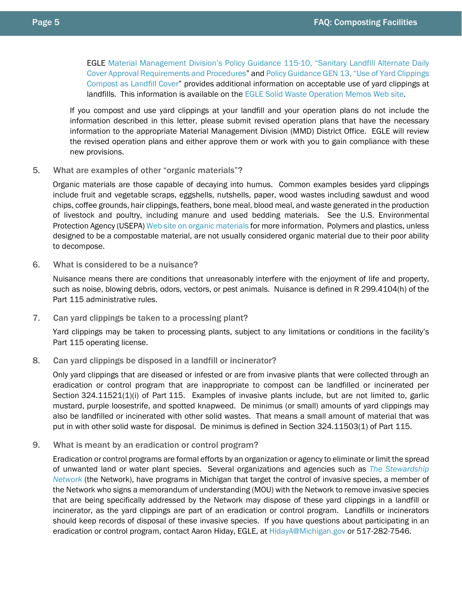EGLE [Material Management Division's Policy Guidance 115-10, "Sanitary Landfill Alternate Daily](http://www.michigan.gov/documents/deq/deq-owmrp-policy-115-10_408155_7.pdf)  [Cover Approval Requirements and Procedures"](http://www.michigan.gov/documents/deq/deq-owmrp-policy-115-10_408155_7.pdf) an[d Policy Guidance GEN 13, "Use of Yard Clippings](http://www.michigan.gov/documents/deq/DEQ-RMD-Gen-13-Yard_Clippings_Compost_LF_Cover_396774_7.pdf)  [Compost as Landfill Cover"](http://www.michigan.gov/documents/deq/DEQ-RMD-Gen-13-Yard_Clippings_Compost_LF_Cover_396774_7.pdf) provides additional information on acceptable use of yard clippings at landfills. This information is available on the EGLE [Solid Waste Operation Memos Web site.](http://www.michigan.gov/deq/0,1607,7-135-3312_4123-9890--,00.html)

If you compost and use yard clippings at your landfill and your operation plans do not include the information described in this letter, please submit revised operation plans that have the necessary information to the appropriate Material Management Division (MMD) District Office. EGLE will review the revised operation plans and either approve them or work with you to gain compliance with these new provisions.

<span id="page-4-0"></span>5. What are examples of other "organic materials"?

Organic materials are those capable of decaying into humus. Common examples besides yard clippings include fruit and vegetable scraps, eggshells, nutshells, paper, wood wastes including sawdust and wood chips, coffee grounds, hair clippings, feathers, bone meal, blood meal, and waste generated in the production of livestock and poultry, including manure and used bedding materials. See the U.S. Environmental Protection Agency (USEPA[\) Web site on organic materials](http://www.epa.gov/sustainable-management-food) for more information. Polymers and plastics, unless designed to be a compostable material, are not usually considered organic material due to their poor ability to decompose.

<span id="page-4-1"></span>6. What is considered to be a nuisance?

Nuisance means there are conditions that unreasonably interfere with the enjoyment of life and property, such as noise, blowing debris, odors, vectors, or pest animals. Nuisance is defined in R 299.4104(h) of the Part 115 administrative rules.

<span id="page-4-2"></span>7. Can yard clippings be taken to a processing plant?

Yard clippings may be taken to processing plants, subject to any limitations or conditions in the facility's Part 115 operating license.

<span id="page-4-3"></span>8. Can yard clippings be disposed in a landfill or incinerator?

Only yard clippings that are diseased or infested or are from invasive plants that were collected through an eradication or control program that are inappropriate to compost can be landfilled or incinerated per Section 324.11521(1)(i) of Part 115. Examples of invasive plants include, but are not limited to, garlic mustard, purple loosestrife, and spotted knapweed. De minimus (or small) amounts of yard clippings may also be landfilled or incinerated with other solid wastes. That means a small amount of material that was put in with other solid waste for disposal. De minimus is defined in Section 324.11503(1) of Part 115.

<span id="page-4-4"></span>9. What is meant by an eradication or control program?

Eradication or control programs are formal efforts by an organization or agency to eliminate or limit the spread of unwanted land or water plant species. Several organizations and agencies such as *[The Stewardship](http://www.stewardshipnetwork.org/)  [Network](http://www.stewardshipnetwork.org/)* (the Network), have programs in Michigan that target the control of invasive species, a member of the Network who signs a memorandum of understanding (MOU) with the Network to remove invasive species that are being specifically addressed by the Network may dispose of these yard clippings in a landfill or incinerator, as the yard clippings are part of an eradication or control program. Landfills or incinerators should keep records of disposal of these invasive species. If you have questions about participating in an eradication or control program, contact Aaron Hiday, EGLE, at [HidayA@Michigan.gov](mailto:HidayA@Michigan.gov) or 517-282-7546.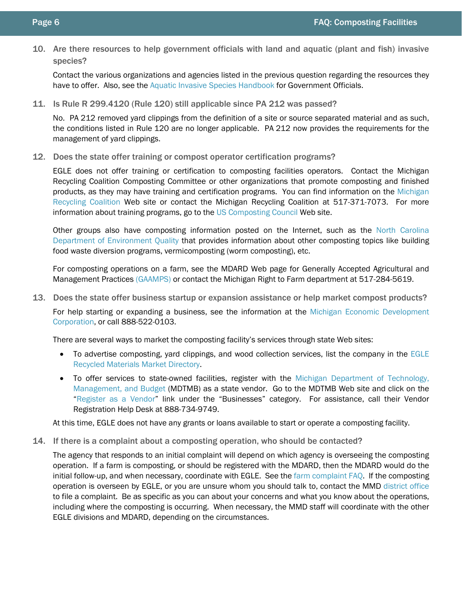<span id="page-5-0"></span>10. Are there resources to help government officials with land and aquatic (plant and fish) invasive species?

Contact the various organizations and agencies listed in the previous question regarding the resources they have to offer. Also, see the [Aquatic Invasive Species Handbook](http://www.michigan.gov/documents/deq/wrd-ais-smp-public-review_380166_7.pdf) for Government Officials.

<span id="page-5-1"></span>11. Is Rule R 299.4120 (Rule 120) still applicable since PA 212 was passed?

No. PA 212 removed yard clippings from the definition of a site or source separated material and as such, the conditions listed in Rule 120 are no longer applicable. PA 212 now provides the requirements for the management of yard clippings.

<span id="page-5-2"></span>12. Does the state offer training or compost operator certification programs?

EGLE does not offer training or certification to composting facilities operators. Contact the Michigan Recycling Coalition Composting Committee or other organizations that promote composting and finished products, as they may have training and certification programs. You can find information on the [Michigan](http://www.michiganrecycles.org/)  [Recycling Coalition](http://www.michiganrecycles.org/) Web site or contact the Michigan Recycling Coalition at 517-371-7073. For more information about training programs, go to the [US Composting Council](http://www.compostingcouncil.org/) Web site.

Other groups also have composting information posted on the Internet, such as the [North Carolina](http://deq.nc.gov/conservation/recycling/composting/composting-101/composting-basics)  [Department of Environment Quality](http://deq.nc.gov/conservation/recycling/composting/composting-101/composting-basics) that provides information about other composting topics like building food waste diversion programs, vermicomposting (worm composting), etc.

For composting operations on a farm, see the MDARD Web page for Generally Accepted Agricultural and Management Practices [\(GAAMPS\)](http://www.michigan.gov/mdard/0,4610,7-125-1599_1605---,00.html) or contact the Michigan Right to Farm department at 517-284-5619.

<span id="page-5-3"></span>13. Does the state offer business startup or expansion assistance or help market compost products?

For help starting or expanding a business, see the information at the [Michigan Economic Development](https://www.michiganbusiness.org/)  [Corporation,](https://www.michiganbusiness.org/) or call 888-522-0103.

There are several ways to market the composting facility's services through state Web sites:

- To advertise composting, yard clippings, and wood collection services, list the company in the [EGLE](http://www.michigan.gov/deqrmmd) Recycled [Materials Market Directory.](http://www.michigan.gov/deqrmmd)
- To offer services to state-owned facilities, register with the [Michigan Department of Technology,](https://www.michigan.gov/dtmb/)  [Management, and Budget](https://www.michigan.gov/dtmb/) (MDTMB) as a state vendor. Go to the MDTMB Web site and click on the ["Register as a Vendor"](https://sigma.michigan.gov/webapp/PRDVSS2X1/AltSelfService) link under the "Businesses" category. For assistance, call their Vendor Registration Help Desk at 888-734-9749.

At this time, EGLE does not have any grants or loans available to start or operate a composting facility.

<span id="page-5-4"></span>14. If there is a complaint about a composting operation, who should be contacted?

The agency that responds to an initial complaint will depend on which agency is overseeing the composting operation. If a farm is composting, or should be registered with the MDARD, then the MDARD would do the initial follow-up, and when necessary, coordinate with EGLE. See the [farm complaint FAQ.](#page-15-7) If the composting operation is overseen by EGLE, or you are unsure whom you should talk to, contact the MMD [district office](http://www.michigan.gov/deq/0,1607,7-135-3306_3329-12306--,00.html) to file a complaint. Be as specific as you can about your concerns and what you know about the operations, including where the composting is occurring. When necessary, the MMD staff will coordinate with the other EGLE divisions and MDARD, depending on the circumstances.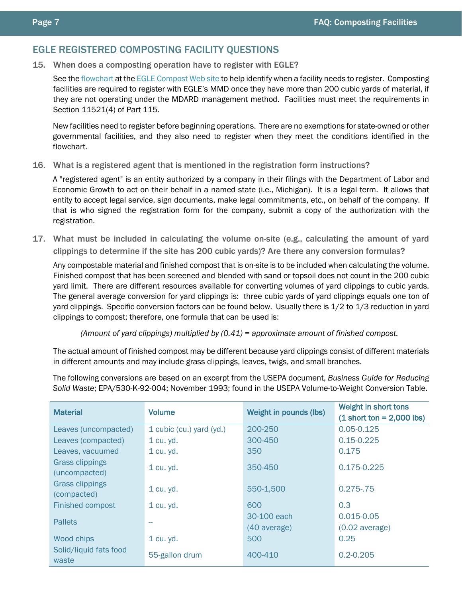## <span id="page-6-0"></span>EGLE REGISTERED COMPOSTING FACILITY QUESTIONS

<span id="page-6-1"></span>15. When does a composting operation have to register with EGLE?

See th[e flowchart](http://www.michigan.gov/documents/deq/Visio-Compost_flowchart_web_version_226545_7.pdf) at the EGLE [Compost Web site](http://www.michigan.gov/deqcompost) to help identify when a facility needs to register. Composting facilities are required to register with EGLE's MMD once they have more than 200 cubic yards of material, if they are not operating under the MDARD management method. Facilities must meet the requirements in Section 11521(4) of Part 115.

New facilities need to register before beginning operations. There are no exemptions for state-owned or other governmental facilities, and they also need to register when they meet the conditions identified in the flowchart.

<span id="page-6-2"></span>16. What is a registered agent that is mentioned in the registration form instructions?

A "registered agent" is an entity authorized by a company in their filings with the Department of Labor and Economic Growth to act on their behalf in a named state (i.e., Michigan). It is a legal term. It allows that entity to accept legal service, sign documents, make legal commitments, etc., on behalf of the company. If that is who signed the registration form for the company, submit a copy of the authorization with the registration.

<span id="page-6-3"></span>17. What must be included in calculating the volume on-site (e.g., calculating the amount of yard clippings to determine if the site has 200 cubic yards)? Are there any conversion formulas?

Any compostable material and finished compost that is on-site is to be included when calculating the volume. Finished compost that has been screened and blended with sand or topsoil does not count in the 200 cubic yard limit. There are different resources available for converting volumes of yard clippings to cubic yards. The general average conversion for yard clippings is: three cubic yards of yard clippings equals one ton of yard clippings. Specific conversion factors can be found below. Usually there is 1/2 to 1/3 reduction in yard clippings to compost; therefore, one formula that can be used is:

*(Amount of yard clippings) multiplied by (0.41) = approximate amount of finished compost.*

The actual amount of finished compost may be different because yard clippings consist of different materials in different amounts and may include grass clippings, leaves, twigs, and small branches.

The following conversions are based on an excerpt from the USEPA document, *Business Guide for Reducing Solid Waste*; EPA/530-K-92-004; November 1993; found in the USEPA Volume-to-Weight Conversion Table.

| <b>Material</b>                         | <b>Volume</b>            | Weight in pounds (lbs)      | Weight in short tons<br>$(1 \text{ short ton} = 2,000 \text{ lbs})$ |
|-----------------------------------------|--------------------------|-----------------------------|---------------------------------------------------------------------|
| Leaves (uncompacted)                    | 1 cubic (cu.) yard (yd.) | 200-250                     | $0.05 - 0.125$                                                      |
| Leaves (compacted)                      | 1 cu. yd.                | 300-450                     | $0.15 - 0.225$                                                      |
| Leaves, vacuumed                        | 1 cu. yd.                | 350                         | 0.175                                                               |
| <b>Grass clippings</b><br>(uncompacted) | 1 cu. yd.                | 350-450                     | 0.175-0.225                                                         |
| <b>Grass clippings</b><br>(compacted)   | 1 cu. yd.                | 550-1,500                   | $0.275 - .75$                                                       |
| <b>Finished compost</b>                 | 1 cu. yd.                | 600                         | 0.3                                                                 |
| <b>Pallets</b>                          |                          | 30-100 each<br>(40 average) | $0.015 - 0.05$<br>$(0.02 \text{ average})$                          |
| Wood chips                              | 1 cu. yd.                | 500                         | 0.25                                                                |
| Solid/liquid fats food<br>waste         | 55-gallon drum           | 400-410                     | $0.2 - 0.205$                                                       |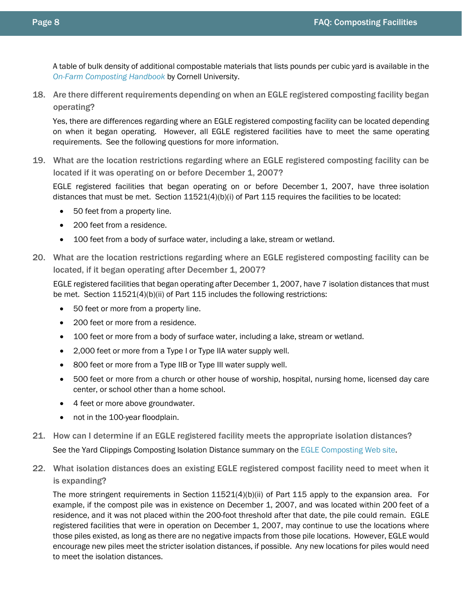A table of bulk density of additional compostable materials that lists pounds per cubic yard is available in the *[On-Farm Composting Handbook](https://campus.extension.org/pluginfile.php/48384/course/section/7167/NRAES%20FarmCompost%20manual%201992.pdf)* by Cornell University.

<span id="page-7-0"></span>18. Are there different requirements depending on when an EGLE registered composting facility began operating?

Yes, there are differences regarding where an EGLE registered composting facility can be located depending on when it began operating. However, all EGLE registered facilities have to meet the same operating requirements. See the following questions for more information.

<span id="page-7-1"></span>19. What are the location restrictions regarding where an EGLE registered composting facility can be located if it was operating on or before December 1, 2007?

EGLE registered facilities that began operating on or before December 1, 2007, have three isolation distances that must be met. Section 11521(4)(b)(i) of Part 115 requires the facilities to be located:

- 50 feet from a property line.
- 200 feet from a residence.
- 100 feet from a body of surface water, including a lake, stream or wetland.
- <span id="page-7-2"></span>20. What are the location restrictions regarding where an EGLE registered composting facility can be located, if it began operating after December 1, 2007?

EGLE registered facilities that began operating after December 1, 2007, have 7 isolation distances that must be met. Section 11521(4)(b)(ii) of Part 115 includes the following restrictions:

- 50 feet or more from a property line.
- 200 feet or more from a residence.
- 100 feet or more from a body of surface water, including a lake, stream or wetland.
- 2,000 feet or more from a Type I or Type IIA water supply well.
- 800 feet or more from a Type IIB or Type III water supply well.
- 500 feet or more from a church or other house of worship, hospital, nursing home, licensed day care center, or school other than a home school.
- 4 feet or more above groundwater.
- not in the 100-year floodplain.
- <span id="page-7-3"></span>21. How can I determine if an EGLE registered facility meets the appropriate isolation distances? See the Yard Clippings Composting Isolation Distance summary on the EGLE [Composting Web site.](http://www.michigan.gov/deq/0,1607,7-135-3312_4123-185537--,00.html)
- <span id="page-7-4"></span>22. What isolation distances does an existing EGLE registered compost facility need to meet when it is expanding?

The more stringent requirements in Section 11521(4)(b)(ii) of Part 115 apply to the expansion area. For example, if the compost pile was in existence on December 1, 2007, and was located within 200 feet of a residence, and it was not placed within the 200-foot threshold after that date, the pile could remain. EGLE registered facilities that were in operation on December 1, 2007, may continue to use the locations where those piles existed, as long as there are no negative impacts from those pile locations. However, EGLE would encourage new piles meet the stricter isolation distances, if possible. Any new locations for piles would need to meet the isolation distances.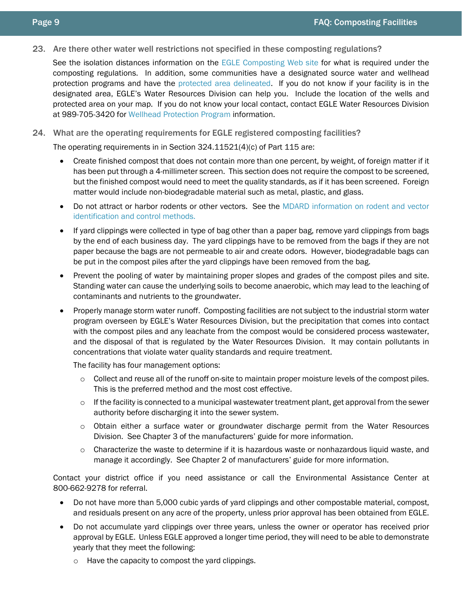- 
- <span id="page-8-0"></span>23. Are there other water well restrictions not specified in these composting regulations?

See the isolation distances information on the EGLE [Composting Web site](http://www.michigan.gov/deq/0,1607,7-135-3312_4123-185537--,00.html) for what is required under the composting regulations. In addition, some communities have a designated source water and wellhead protection programs and have the [protected area delineated.](http://www.michigan.gov/deq/0,4561,7-135-3313_3675_3695---,00.html) If you do not know if your facility is in the designated area, EGLE's Water Resources Division can help you. Include the location of the wells and protected area on your map. If you do not know your local contact, contact EGLE Water Resources Division at 989-705-3420 for [Wellhead Protection Program](http://www.michigan.gov/deq/0,1607,7-135-3313_3675_3695---,00.html) information.

## <span id="page-8-1"></span>24. What are the operating requirements for EGLE registered composting facilities?

The operating requirements in in Section 324.11521(4)(c) of Part 115 are:

- Create finished compost that does not contain more than one percent, by weight, of foreign matter if it has been put through a 4-millimeter screen. This section does not require the compost to be screened, but the finished compost would need to meet the quality standards, as if it has been screened. Foreign matter would include non-biodegradable material such as metal, plastic, and glass.
- Do not attract or harbor rodents or other vectors. See the [MDARD information on rodent and vector](http://www.michigan.gov/documents/MDA_mod_05_21253_7.html)  [identification and control methods.](http://www.michigan.gov/documents/MDA_mod_05_21253_7.html)
- If yard clippings were collected in type of bag other than a paper bag, remove yard clippings from bags by the end of each business day. The yard clippings have to be removed from the bags if they are not paper because the bags are not permeable to air and create odors. However, biodegradable bags can be put in the compost piles after the yard clippings have been removed from the bag.
- Prevent the pooling of water by maintaining proper slopes and grades of the compost piles and site. Standing water can cause the underlying soils to become anaerobic, which may lead to the leaching of contaminants and nutrients to the groundwater.
- Properly manage storm water runoff. Composting facilities are not subject to the industrial storm water program overseen by EGLE's Water Resources Division, but the precipitation that comes into contact with the compost piles and any leachate from the compost would be considered process wastewater, and the disposal of that is regulated by the Water Resources Division. It may contain pollutants in concentrations that violate water quality standards and require treatment.

The facility has four management options:

- $\circ$  Collect and reuse all of the runoff on-site to maintain proper moisture levels of the compost piles. This is the preferred method and the most cost effective.
- $\circ$  If the facility is connected to a municipal wastewater treatment plant, get approval from the sewer authority before discharging it into the sewer system.
- $\circ$  Obtain either a surface water or groundwater discharge permit from the Water Resources Division. See Chapter 3 of the manufacturers' guide for more information.
- $\circ$  Characterize the waste to determine if it is hazardous waste or nonhazardous liquid waste, and manage it accordingly. See Chapter 2 of manufacturers' guide for more information.

Contact your district office if you need assistance or call the Environmental Assistance Center at 800-662-9278 for referral.

- Do not have more than 5,000 cubic yards of yard clippings and other compostable material, compost, and residuals present on any acre of the property, unless prior approval has been obtained from EGLE.
- Do not accumulate yard clippings over three years, unless the owner or operator has received prior approval by EGLE. Unless EGLE approved a longer time period, they will need to be able to demonstrate yearly that they meet the following:
	- o Have the capacity to compost the yard clippings.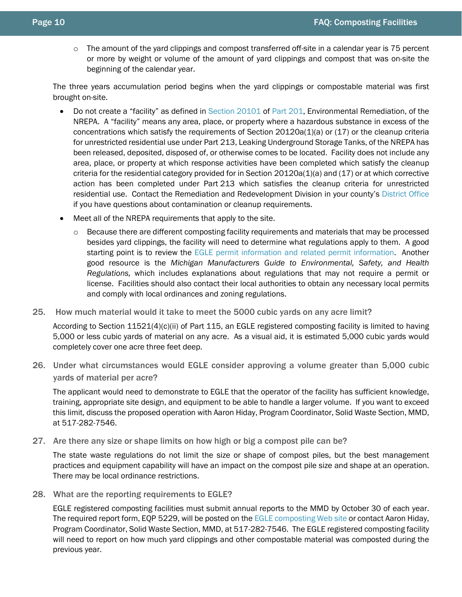$\circ$  The amount of the yard clippings and compost transferred off-site in a calendar year is 75 percent or more by weight or volume of the amount of yard clippings and compost that was on-site the beginning of the calendar year.

The three years accumulation period begins when the yard clippings or compostable material was first brought on-site.

- Do not create a "facility" as defined in [Section](http://www.legislature.mi.gov/(S(z2auvt45sdlkam45p4zujo45))/mileg.aspx?page=getObject&objectName=mcl-324-20101) 20101 of [Part](http://www.legislature.mi.gov/(S(z2auvt45sdlkam45p4zujo45))/mileg.aspx?page=getobject&objectname=mcl-451-1994-ii-7-201&highlight=) 201, Environmental Remediation, of the NREPA. A "facility" means any area, place, or property where a hazardous substance in excess of the concentrations which satisfy the requirements of Section 20120a(1)(a) or (17) or the cleanup criteria for unrestricted residential use under Part 213, Leaking Underground Storage Tanks, of the NREPA has been released, deposited, disposed of, or otherwise comes to be located. Facility does not include any area, place, or property at which response activities have been completed which satisfy the cleanup criteria for the residential category provided for in Section 20120a(1)(a) and (17) or at which corrective action has been completed under Part 213 which satisfies the cleanup criteria for unrestricted residential use. Contact the Remediation and Redevelopment Division in your county's [District Office](http://www.michigan.gov/deq/0,1607,7-135-3306_3329-12306--,00.html) if you have questions about contamination or cleanup requirements.
- Meet all of the NREPA requirements that apply to the site.
	- o Because there are different composting facility requirements and materials that may be processed besides yard clippings, the facility will need to determine what regulations apply to them. A good starting point is to review the EGLE [permit information and related permit information.](http://www.michigan.gov/deqpermits) Another good resource is the *Michigan Manufacturers Guide to Environmental, Safety, and Health Regulations,* which includes explanations about regulations that may not require a permit or license. Facilities should also contact their local authorities to obtain any necessary local permits and comply with local ordinances and zoning regulations.
- 25. How much material would it take to meet the 5000 cubic yards on any acre limit?

<span id="page-9-0"></span>According to Section 11521(4)(c)(ii) of Part 115, an EGLE registered composting facility is limited to having 5,000 or less cubic yards of material on any acre. As a visual aid, it is estimated 5,000 cubic yards would completely cover one acre three feet deep.

<span id="page-9-1"></span>26. Under what circumstances would EGLE consider approving a volume greater than 5,000 cubic yards of material per acre?

The applicant would need to demonstrate to EGLE that the operator of the facility has sufficient knowledge, training, appropriate site design, and equipment to be able to handle a larger volume. If you want to exceed this limit, discuss the proposed operation with Aaron Hiday, Program Coordinator, Solid Waste Section, MMD, at 517-282-7546.

<span id="page-9-2"></span>27. Are there any size or shape limits on how high or big a compost pile can be?

The state waste regulations do not limit the size or shape of compost piles, but the best management practices and equipment capability will have an impact on the compost pile size and shape at an operation. There may be local ordinance restrictions.

<span id="page-9-3"></span>28. What are the reporting requirements to EGLE?

EGLE registered composting facilities must submit annual reports to the MMD by October 30 of each year. The required report form, EQP 5229, will be posted on the EGLE [composting Web site](http://www.michigan.gov/deq/0,1607,7-135-3312_4123-185537--,00.html) or contact Aaron Hiday, Program Coordinator, Solid Waste Section, MMD, at 517-282-7546. The EGLE registered composting facility will need to report on how much yard clippings and other compostable material was composted during the previous year.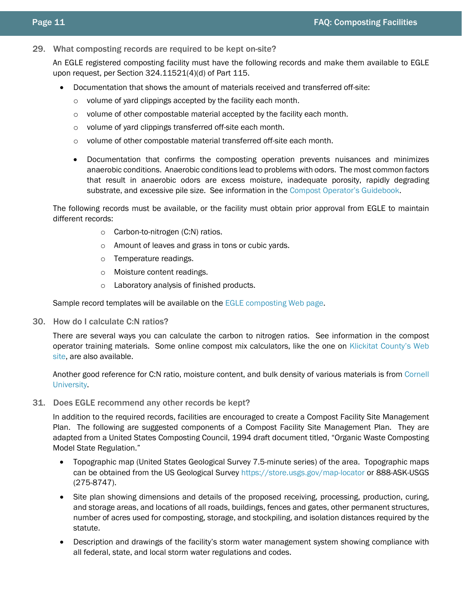<span id="page-10-0"></span>29. What composting records are required to be kept on-site?

An EGLE registered composting facility must have the following records and make them available to EGLE upon request, per Section 324.11521(4)(d) of Part 115.

- Documentation that shows the amount of materials received and transferred off-site:
	- o volume of yard clippings accepted by the facility each month.
	- o volume of other compostable material accepted by the facility each month.
	- o volume of yard clippings transferred off-site each month.
	- o volume of other compostable material transferred off-site each month.
	- Documentation that confirms the composting operation prevents nuisances and minimizes anaerobic conditions. Anaerobic conditions lead to problems with odors. The most common factors that result in anaerobic odors are excess moisture, inadequate porosity, rapidly degrading substrate, and excessive pile size. See information in the [Compost Operator's Guidebook.](http://www.michigan.gov/documents/deq/deq-oea-compostoperatorguidebook_488399_7.pdf)

The following records must be available, or the facility must obtain prior approval from EGLE to maintain different records:

- o Carbon-to-nitrogen (C:N) ratios.
- o Amount of leaves and grass in tons or cubic yards.
- o Temperature readings.
- o Moisture content readings.
- o Laboratory analysis of finished products.

Sample record templates will be available on the EGLE [composting Web page.](http://www.michigan.gov/deq/0,1607,7-135-3312_4123-185537--,00.html)

<span id="page-10-1"></span>30. How do I calculate C:N ratios?

There are several ways you can calculate the carbon to nitrogen ratios. See information in the compost operator training materials. Some online compost mix calculators, like the one on [Klickitat County's Web](https://www.klickitatcounty.org/1030/Compost-Mix-Calculator)  [site,](https://www.klickitatcounty.org/1030/Compost-Mix-Calculator) are also available.

Another good reference for C:N ratio, moisture content, and bulk density of various materials is from [Cornell](http://compost.css.cornell.edu/calc/2.html)  [University.](http://compost.css.cornell.edu/calc/2.html)

<span id="page-10-2"></span>31. Does EGLE recommend any other records be kept?

In addition to the required records, facilities are encouraged to create a Compost Facility Site Management Plan. The following are suggested components of a Compost Facility Site Management Plan. They are adapted from a United States Composting Council, 1994 draft document titled, "Organic Waste Composting Model State Regulation."

- Topographic map (United States Geological Survey 7.5-minute series) of the area. Topographic maps can be obtained from the US Geological Survey<https://store.usgs.gov/map-locator> or 888-ASK-USGS (275-8747).
- Site plan showing dimensions and details of the proposed receiving, processing, production, curing, and storage areas, and locations of all roads, buildings, fences and gates, other permanent structures, number of acres used for composting, storage, and stockpiling, and isolation distances required by the statute.
- Description and drawings of the facility's storm water management system showing compliance with all federal, state, and local storm water regulations and codes.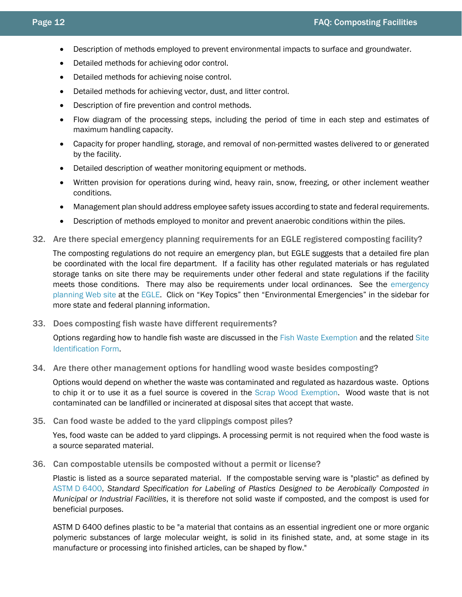- Description of methods employed to prevent environmental impacts to surface and groundwater.
- Detailed methods for achieving odor control.
- Detailed methods for achieving noise control.
- Detailed methods for achieving vector, dust, and litter control.
- Description of fire prevention and control methods.
- Flow diagram of the processing steps, including the period of time in each step and estimates of maximum handling capacity.
- Capacity for proper handling, storage, and removal of non-permitted wastes delivered to or generated by the facility.
- Detailed description of weather monitoring equipment or methods.
- Written provision for operations during wind, heavy rain, snow, freezing, or other inclement weather conditions.
- Management plan should address employee safety issues according to state and federal requirements.
- Description of methods employed to monitor and prevent anaerobic conditions within the piles.
- <span id="page-11-0"></span>32. Are there special emergency planning requirements for an EGLE registered composting facility?

The composting regulations do not require an emergency plan, but EGLE suggests that a detailed fire plan be coordinated with the local fire department. If a facility has other regulated materials or has regulated storage tanks on site there may be requirements under other federal and state regulations if the facility meets those conditions. There may also be requirements under local ordinances. See the [emergency](http://www.michigan.gov/deq/0,1607,7-135-3307_29894_4161---,00.html)  [planning Web site](http://www.michigan.gov/deq/0,1607,7-135-3307_29894_4161---,00.html) at the [EGLE.](http://www.michigan.gov/deq) Click on "Key Topics" then "Environmental Emergencies" in the sidebar for more state and federal planning information.

<span id="page-11-1"></span>33. Does composting fish waste have different requirements?

Options regarding how to handle fish waste are discussed in the [Fish Waste Exemption](http://www.michigan.gov/documents/deq/deq-whmd-swp-Exemption-FishWaste_247536_7.pdf) and the related [Site](http://www.michigan.gov/documents/deq/deq-whmd-swp-SampleSiteIdentificationForm_247541_7.pdf)  [Identification Form.](http://www.michigan.gov/documents/deq/deq-whmd-swp-SampleSiteIdentificationForm_247541_7.pdf)

<span id="page-11-2"></span>34. Are there other management options for handling wood waste besides composting?

Options would depend on whether the waste was contaminated and regulated as hazardous waste. Options to chip it or to use it as a fuel source is covered in the [Scrap Wood Exemption.](http://www.michigan.gov/documents/deq/deq-whmd-swp-Exemption-ScrapWood_247543_7.pdf) Wood waste that is not contaminated can be landfilled or incinerated at disposal sites that accept that waste.

<span id="page-11-3"></span>35. Can food waste be added to the yard clippings compost piles?

Yes, food waste can be added to yard clippings. A processing permit is not required when the food waste is a source separated material.

<span id="page-11-4"></span>36. Can compostable utensils be composted without a permit or license?

Plastic is listed as a source separated material. If the compostable serving ware is "plastic" as defined by ASTM D [6400,](https://www.astm.org/Standards/D6400.htm) *Standard Specification for Labeling of Plastics Designed to be Aerobically Composted in Municipal or Industrial Facilities*, it is therefore not solid waste if composted, and the compost is used for beneficial purposes.

ASTM D 6400 defines plastic to be "a material that contains as an essential ingredient one or more organic polymeric substances of large molecular weight, is solid in its finished state, and, at some stage in its manufacture or processing into finished articles, can be shaped by flow."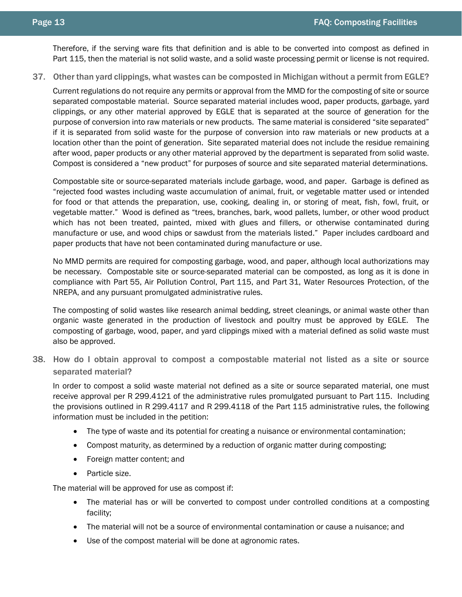Therefore, if the serving ware fits that definition and is able to be converted into compost as defined in Part 115, then the material is not solid waste, and a solid waste processing permit or license is not required.

<span id="page-12-0"></span>37. Other than yard clippings, what wastes can be composted in Michigan without a permit from EGLE?

Current regulations do not require any permits or approval from the MMD for the composting of site or source separated compostable material. Source separated material includes wood, paper products, garbage, yard clippings, or any other material approved by EGLE that is separated at the source of generation for the purpose of conversion into raw materials or new products. The same material is considered "site separated" if it is separated from solid waste for the purpose of conversion into raw materials or new products at a location other than the point of generation. Site separated material does not include the residue remaining after wood, paper products or any other material approved by the department is separated from solid waste. Compost is considered a "new product" for purposes of source and site separated material determinations.

Compostable site or source-separated materials include garbage, wood, and paper. Garbage is defined as "rejected food wastes including waste accumulation of animal, fruit, or vegetable matter used or intended for food or that attends the preparation, use, cooking, dealing in, or storing of meat, fish, fowl, fruit, or vegetable matter." Wood is defined as "trees, branches, bark, wood pallets, lumber, or other wood product which has not been treated, painted, mixed with glues and fillers, or otherwise contaminated during manufacture or use, and wood chips or sawdust from the materials listed." Paper includes cardboard and paper products that have not been contaminated during manufacture or use.

No MMD permits are required for composting garbage, wood, and paper, although local authorizations may be necessary. Compostable site or source-separated material can be composted, as long as it is done in compliance with Part 55, Air Pollution Control, Part 115, and Part 31, Water Resources Protection, of the NREPA, and any pursuant promulgated administrative rules.

The composting of solid wastes like research animal bedding, street cleanings, or animal waste other than organic waste generated in the production of livestock and poultry must be approved by EGLE. The composting of garbage, wood, paper, and yard clippings mixed with a material defined as solid waste must also be approved.

<span id="page-12-1"></span>38. How do I obtain approval to compost a compostable material not listed as a site or source separated material?

In order to compost a solid waste material not defined as a site or source separated material, one must receive approval per R 299.4121 of the administrative rules promulgated pursuant to Part 115. Including the provisions outlined in R 299.4117 and R 299.4118 of the Part 115 administrative rules, the following information must be included in the petition:

- The type of waste and its potential for creating a nuisance or environmental contamination;
- Compost maturity, as determined by a reduction of organic matter during composting;
- Foreign matter content; and
- Particle size.

The material will be approved for use as compost if:

- The material has or will be converted to compost under controlled conditions at a composting facility;
- The material will not be a source of environmental contamination or cause a nuisance; and
- Use of the compost material will be done at agronomic rates.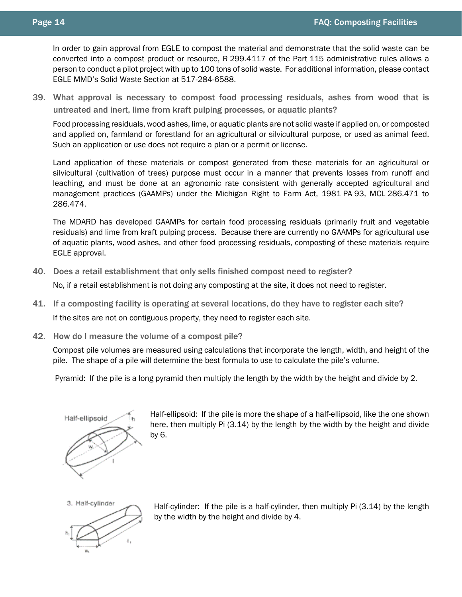In order to gain approval from EGLE to compost the material and demonstrate that the solid waste can be converted into a compost product or resource, R 299.4117 of the Part 115 administrative rules allows a person to conduct a pilot project with up to 100 tons of solid waste. For additional information, please contact EGLE MMD's Solid Waste Section at 517-284-6588.

<span id="page-13-0"></span>39. What approval is necessary to compost food processing residuals, ashes from wood that is untreated and inert, lime from kraft pulping processes, or aquatic plants?

Food processing residuals, wood ashes, lime, or aquatic plants are not solid waste if applied on, or composted and applied on, farmland or forestland for an agricultural or silvicultural purpose, or used as animal feed. Such an application or use does not require a plan or a permit or license.

Land application of these materials or compost generated from these materials for an agricultural or silvicultural (cultivation of trees) purpose must occur in a manner that prevents losses from runoff and leaching, and must be done at an agronomic rate consistent with generally accepted agricultural and management practices (GAAMPs) under the Michigan Right to Farm Act, 1981 PA 93, MCL 286.471 to 286.474.

The MDARD has developed GAAMPs for certain food processing residuals (primarily fruit and vegetable residuals) and lime from kraft pulping process. Because there are currently no GAAMPs for agricultural use of aquatic plants, wood ashes, and other food processing residuals, composting of these materials require EGLE approval.

<span id="page-13-1"></span>40. Does a retail establishment that only sells finished compost need to register?

No, if a retail establishment is not doing any composting at the site, it does not need to register.

- <span id="page-13-2"></span>41. If a composting facility is operating at several locations, do they have to register each site? If the sites are not on contiguous property, they need to register each site.
- <span id="page-13-3"></span>42. How do I measure the volume of a compost pile?

Compost pile volumes are measured using calculations that incorporate the length, width, and height of the pile. The shape of a pile will determine the best formula to use to calculate the pile's volume.

Pyramid: If the pile is a long pyramid then multiply the length by the width by the height and divide by 2.



Half-ellipsoid: If the pile is more the shape of a half-ellipsoid, like the one shown here, then multiply Pi (3.14) by the length by the width by the height and divide by 6.



Half-cylinder: If the pile is a half-cylinder, then multiply Pi (3.14) by the length by the width by the height and divide by 4.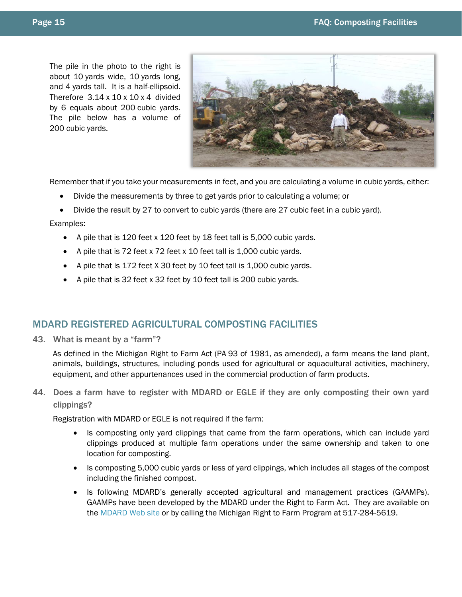The pile in the photo to the right is about 10 yards wide, 10 yards long, and 4 yards tall. It is a half-ellipsoid. Therefore  $3.14 \times 10 \times 10 \times 4$  divided by 6 equals about 200 cubic yards. The pile below has a volume of 200 cubic yards.



Remember that if you take your measurements in feet, and you are calculating a volume in cubic yards, either:

- Divide the measurements by three to get yards prior to calculating a volume; or
- Divide the result by 27 to convert to cubic yards (there are 27 cubic feet in a cubic yard).

#### Examples:

- A pile that is 120 feet x 120 feet by 18 feet tall is 5,000 cubic yards.
- A pile that is 72 feet x 72 feet x 10 feet tall is 1,000 cubic yards.
- A pile that Is 172 feet X 30 feet by 10 feet tall is 1,000 cubic yards.
- A pile that is 32 feet x 32 feet by 10 feet tall is 200 cubic yards.

## <span id="page-14-0"></span>MDARD REGISTERED AGRICULTURAL COMPOSTING FACILITIES

<span id="page-14-1"></span>43. What is meant by a "farm"?

As defined in the Michigan Right to Farm Act (PA 93 of 1981, as amended), a farm means the land plant, animals, buildings, structures, including ponds used for agricultural or aquacultural activities, machinery, equipment, and other appurtenances used in the commercial production of farm products.

<span id="page-14-2"></span>44. Does a farm have to register with MDARD or EGLE if they are only composting their own yard clippings?

Registration with MDARD or EGLE is not required if the farm:

- Is composting only yard clippings that came from the farm operations, which can include yard clippings produced at multiple farm operations under the same ownership and taken to one location for composting.
- Is composting 5,000 cubic yards or less of yard clippings, which includes all stages of the compost including the finished compost.
- Is following MDARD's generally accepted agricultural and management practices (GAAMPs). GAAMPs have been developed by the MDARD under the Right to Farm Act. They are available on the [MDARD Web site](http://www.michigan.gov/gaamps) or by calling the Michigan Right to Farm Program at 517-284-5619.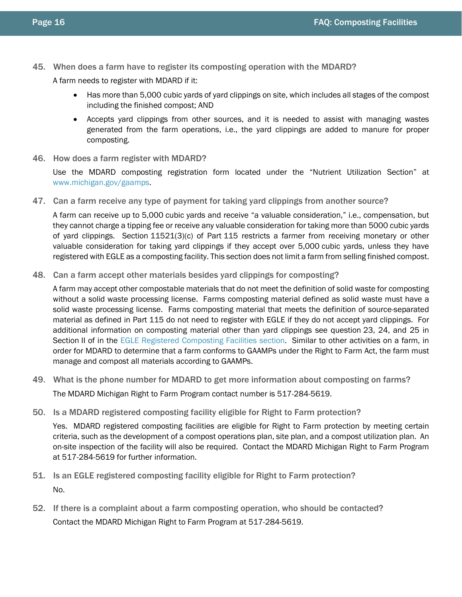<span id="page-15-0"></span>45. When does a farm have to register its composting operation with the MDARD?

A farm needs to register with MDARD if it:

- Has more than 5,000 cubic yards of yard clippings on site, which includes all stages of the compost including the finished compost; AND
- Accepts yard clippings from other sources, and it is needed to assist with managing wastes generated from the farm operations, i.e., the yard clippings are added to manure for proper composting.
- <span id="page-15-1"></span>46. How does a farm register with MDARD?

Use the MDARD composting registration form located under the "Nutrient Utilization Section" at [www.michigan.gov/gaamps.](http://www.michigan.gov/gaamps)

<span id="page-15-2"></span>47. Can a farm receive any type of payment for taking yard clippings from another source?

A farm can receive up to 5,000 cubic yards and receive "a valuable consideration," i.e., compensation, but they cannot charge a tipping fee or receive any valuable consideration for taking more than 5000 cubic yards of yard clippings. Section 11521(3)(c) of Part 115 restricts a farmer from receiving monetary or other valuable consideration for taking yard clippings if they accept over 5,000 cubic yards, unless they have registered with EGLE as a composting facility. This section does not limit a farm from selling finished compost.

<span id="page-15-3"></span>48. Can a farm accept other materials besides yard clippings for composting?

A farm may accept other compostable materials that do not meet the definition of solid waste for composting without a solid waste processing license. Farms composting material defined as solid waste must have a solid waste processing license. Farms composting material that meets the definition of source-separated material as defined in Part 115 do not need to register with EGLE if they do not accept yard clippings. For additional information on composting material other than yard clippings see question 23, 24, and 25 in Section II of in the EGLE [Registered Composting Facilities section.](#page-6-0) Similar to other activities on a farm, in order for MDARD to determine that a farm conforms to GAAMPs under the Right to Farm Act, the farm must manage and compost all materials according to GAAMPs.

- <span id="page-15-4"></span>49. What is the phone number for MDARD to get more information about composting on farms? The MDARD Michigan Right to Farm Program contact number is 517-284-5619.
- <span id="page-15-5"></span>50. Is a MDARD registered composting facility eligible for Right to Farm protection?

Yes. MDARD registered composting facilities are eligible for Right to Farm protection by meeting certain criteria, such as the development of a compost operations plan, site plan, and a compost utilization plan. An on-site inspection of the facility will also be required. Contact the MDARD Michigan Right to Farm Program at 517-284-5619 for further information.

- <span id="page-15-6"></span>51. Is an EGLE registered composting facility eligible for Right to Farm protection? No.
- <span id="page-15-7"></span>52. If there is a complaint about a farm composting operation, who should be contacted? Contact the MDARD Michigan Right to Farm Program at 517-284-5619.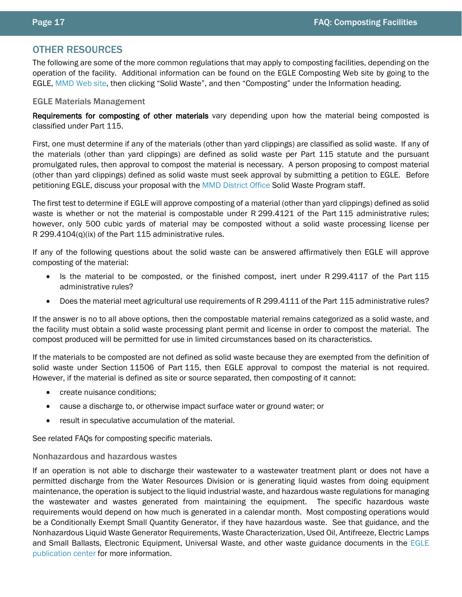## <span id="page-16-0"></span>OTHER RESOURCES

The following are some of the more common regulations that may apply to composting facilities, depending on the operation of the facility. Additional information can be found on the EGLE Composting Web site by going to the EGLE, MMD [Web site,](http://www.michigan.gov/deqwaste) then clicking "Solid Waste", and then "Composting" under the Information heading.

#### <span id="page-16-1"></span>EGLE Materials Management

Requirements for composting of other materials vary depending upon how the material being composted is classified under Part 115.

First, one must determine if any of the materials (other than yard clippings) are classified as solid waste. If any of the materials (other than yard clippings) are defined as solid waste per Part 115 statute and the pursuant promulgated rules, then approval to compost the material is necessary. A person proposing to compost material (other than yard clippings) defined as solid waste must seek approval by submitting a petition to EGLE. Before petitioning EGLE, discuss your proposal with the MMD [District Office](http://www.michigan.gov/deq/0,1607,7-135-3306_3329-12306--,00.html) Solid Waste Program staff.

The first test to determine if EGLE will approve composting of a material (other than yard clippings) defined as solid waste is whether or not the material is compostable under R 299.4121 of the Part 115 administrative rules; however, only 500 cubic yards of material may be composted without a solid waste processing license per R 299.4104(q)(ix) of the Part 115 administrative rules.

If any of the following questions about the solid waste can be answered affirmatively then EGLE will approve composting of the material:

- Is the material to be composted, or the finished compost, inert under R 299.4117 of the Part 115 administrative rules?
- Does the material meet agricultural use requirements of R 299.4111 of the Part 115 administrative rules?

If the answer is no to all above options, then the compostable material remains categorized as a solid waste, and the facility must obtain a solid waste processing plant permit and license in order to compost the material. The compost produced will be permitted for use in limited circumstances based on its characteristics.

If the materials to be composted are not defined as solid waste because they are exempted from the definition of solid waste under Section 11506 of Part 115, then EGLE approval to compost the material is not required. However, if the material is defined as site or source separated, then composting of it cannot:

- create nuisance conditions;
- cause a discharge to, or otherwise impact surface water or ground water; or
- result in speculative accumulation of the material.

See related FAQs for composting specific materials.

#### <span id="page-16-2"></span>Nonhazardous and hazardous wastes

If an operation is not able to discharge their wastewater to a wastewater treatment plant or does not have a permitted discharge from the Water Resources Division or is generating liquid wastes from doing equipment maintenance, the operation is subject to the liquid industrial waste, and hazardous waste regulations for managing the wastewater and wastes generated from maintaining the equipment. The specific hazardous waste requirements would depend on how much is generated in a calendar month. Most composting operations would be a Conditionally Exempt Small Quantity Generator, if they have hazardous waste. See that guidance, and the Nonhazardous Liquid Waste Generator Requirements, Waste Characterization, Used Oil, Antifreeze, Electric Lamps and Small Ballasts, Electronic Equipment, Universal Waste, and other waste guidance documents in the [EGLE](http://www.deq.state.mi.us/pubcenter) [publication center](http://www.deq.state.mi.us/pubcenter) for more information.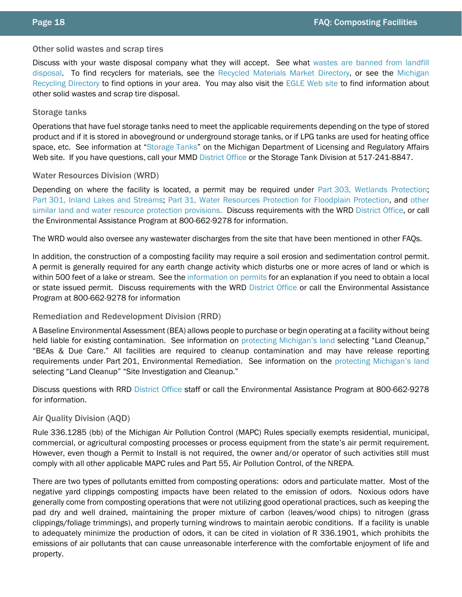#### <span id="page-17-0"></span>Other solid wastes and scrap tires

Discuss with your waste disposal company what they will accept. See what [wastes are banned from landfill](http://www.michigan.gov/deq/0,1607,7-135-3312_4123_4629-96663--,00.html)  [disposal.](http://www.michigan.gov/deq/0,1607,7-135-3312_4123_4629-96663--,00.html) To find recyclers for materials, see the [Recycled Materials Market Directory,](http://www.michigan.gov/deqrmmd) or see the [Michigan](https://www.michigan.gov/deq/0,4561,7-135-70153_69695-405727--,00.html)  [Recycling Directory](https://www.michigan.gov/deq/0,4561,7-135-70153_69695-405727--,00.html) to find options in your area. You may also visit the EGLE [Web site](http://www.michigan.gov/deq/0,1607,7-135-3312---,00.html) to find information about other solid wastes and scrap tire disposal.

#### <span id="page-17-1"></span>Storage tanks

Operations that have fuel storage tanks need to meet the applicable requirements depending on the type of stored product and if it is stored in aboveground or underground storage tanks, or if LPG tanks are used for heating office space, etc. See information at ["Storage Tanks"](http://www.michigan.gov/deq/0,1607,7-135-3311_4115---,00.html) on the Michigan Department of Licensing and Regulatory Affairs Web site. If you have questions, call your MMD [District Office](http://www.michigan.gov/deq/0,1607,7-135-3306_3329-12306--,00.html) or the Storage Tank Division at 517-241-8847.

## <span id="page-17-2"></span>Water Resources Division (WRD)

Depending on where the facility is located, a permit may be required under Part [303, Wetlands Protection;](http://www.michigan.gov/deq/0,1607,7-135-3313_3687---,00.html) Part [301, Inland Lakes and Streams;](http://www.michigan.gov/deq/0,1607,7-135-3313_3681_28734---,00.html) Part [31, Water Resources Protection for Floodplain Protection,](http://www.michigan.gov/deq/0,1607,7-135-3313_3684_3725-11255--,00.html) and other [similar land and water resource protection provisions.](http://www.michigan.gov/deq/0,1607,7-135-3313_3684_3725-11255--,00.html) Discuss requirements with the WRD [District Office,](http://www.michigan.gov/deq/0,1607,7-135-3306_3329-12306--,00.html) or call the Environmental Assistance Program at 800-662-9278 for information.

The WRD would also oversee any wastewater discharges from the site that have been mentioned in other FAQs.

In addition, the construction of a composting facility may require a soil erosion and sedimentation control permit. A permit is generally required for any earth change activity which disturbs one or more acres of land or which is within 500 feet of a lake or stream. See the [information on permits](http://www.michigan.gov/documents/deq/deq-ess-faq-water-wb-sescstormwaterpermits_209057_7.pdf) for an explanation if you need to obtain a local or state issued permit. Discuss requirements with the WRD [District Office](http://www.michigan.gov/deq/0,1607,7-135-3306_3329-12306--,00.html) or call the Environmental Assistance Program at 800-662-9278 for information

## <span id="page-17-3"></span>Remediation and Redevelopment Division (RRD)

A Baseline Environmental Assessment (BEA) allows people to purchase or begin operating at a facility without being held liable for existing contamination. See information on [protecting Michigan's land](http://www.michigan.gov/deqland) selecting "Land Cleanup," "BEAs & Due Care." All facilities are required to cleanup contamination and may have release reporting requirements under Part 201, Environmental Remediation. See information on the [protecting Michigan's land](http://www.michigan.gov/deqland) selecting "Land Cleanup" "Site Investigation and Cleanup."

Discuss questions with RRD [District Office](http://www.michigan.gov/deq/0,1607,7-135-3306_3329-12306--,00.html) staff or call the Environmental Assistance Program at 800-662-9278 for information.

## <span id="page-17-4"></span>Air Quality Division (AQD)

Rule 336.1285 (bb) of the Michigan Air Pollution Control (MAPC) Rules specially exempts residential, municipal, commercial, or agricultural composting processes or process equipment from the state's air permit requirement. However, even though a Permit to Install is not required, the owner and/or operator of such activities still must comply with all other applicable MAPC rules and Part 55, Air Pollution Control, of the NREPA.

There are two types of pollutants emitted from composting operations: odors and particulate matter. Most of the negative yard clippings composting impacts have been related to the emission of odors. Noxious odors have generally come from composting operations that were not utilizing good operational practices, such as keeping the pad dry and well drained, maintaining the proper mixture of carbon (leaves/wood chips) to nitrogen (grass clippings/foliage trimmings), and properly turning windrows to maintain aerobic conditions. If a facility is unable to adequately minimize the production of odors, it can be cited in violation of R 336.1901, which prohibits the emissions of air pollutants that can cause unreasonable interference with the comfortable enjoyment of life and property.